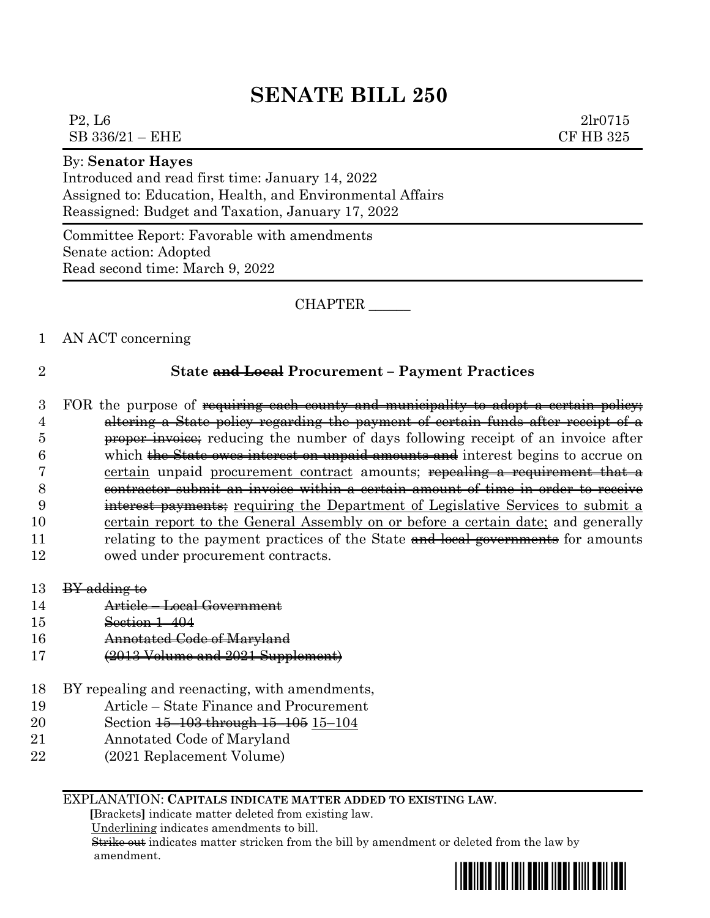# **SENATE BILL 250**

 $P2, L6$  2lr0715  $SB$  336/21 – EHE  $CF$  HB 325

### By: **Senator Hayes**

Introduced and read first time: January 14, 2022 Assigned to: Education, Health, and Environmental Affairs Reassigned: Budget and Taxation, January 17, 2022

Committee Report: Favorable with amendments Senate action: Adopted Read second time: March 9, 2022

CHAPTER \_\_\_\_\_\_

## 1 AN ACT concerning

## 2 **State and Local Procurement – Payment Practices**

3 FOR the purpose of requiring each county and municipality to adopt a certain policy; altering a State policy regarding the payment of certain funds after receipt of a **proper invoice**; reducing the number of days following receipt of an invoice after which the State owes interest on unpaid amounts and interest begins to accrue on 7 certain unpaid procurement contract amounts; repealing a requirement that a contractor submit an invoice within a certain amount of time in order to receive interest payments; requiring the Department of Legislative Services to submit a certain report to the General Assembly on or before a certain date; and generally 11 relating to the payment practices of the State and local governments for amounts owed under procurement contracts.

- 13  $BY$  adding to
- 14 Article Local Government
- 15 Section 1–404
- 16 Annotated Code of Maryland
- 17 (2013 Volume and 2021 Supplement)
- 18 BY repealing and reenacting, with amendments,
- 19 Article State Finance and Procurement
- 20 Section <del>15–103 through 15–105</del> 15–104
- 21 Annotated Code of Maryland
- 22 (2021 Replacement Volume)

### EXPLANATION: **CAPITALS INDICATE MATTER ADDED TO EXISTING LAW**.

 **[**Brackets**]** indicate matter deleted from existing law.

Underlining indicates amendments to bill.

 Strike out indicates matter stricken from the bill by amendment or deleted from the law by amendment.

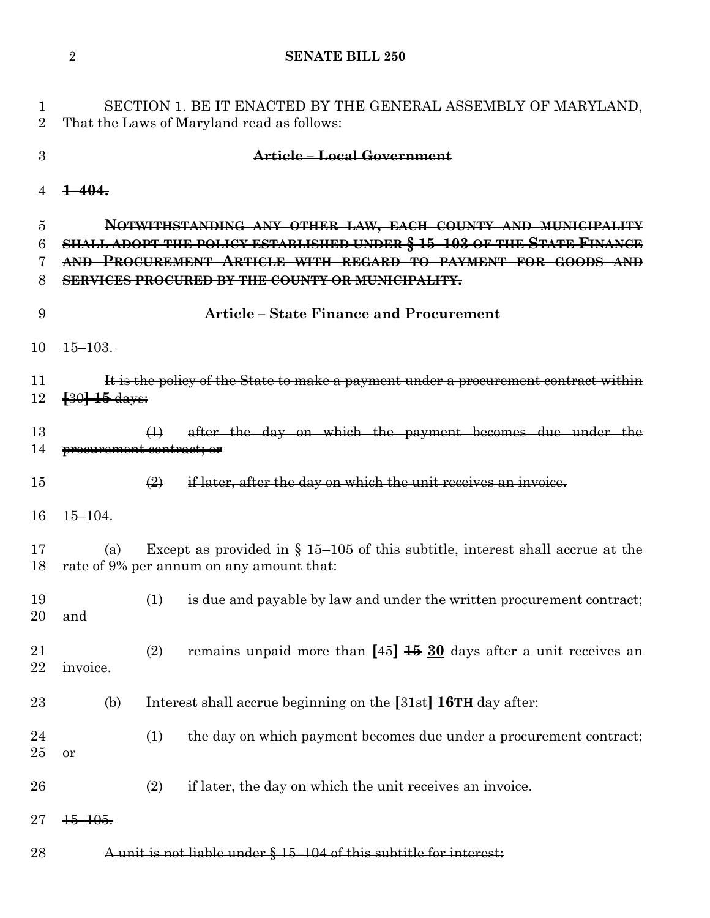**SENATE BILL 250**

 SECTION 1. BE IT ENACTED BY THE GENERAL ASSEMBLY OF MARYLAND, That the Laws of Maryland read as follows: **Article – Local Government 1–404. NOTWITHSTANDING ANY OTHER LAW, EACH COUNTY AND MUNICIPALITY SHALL ADOPT THE POLICY ESTABLISHED UNDER § 15–103 OF THE STATE FINANCE AND PROCUREMENT ARTICLE WITH REGARD TO PAYMENT FOR GOODS AND SERVICES PROCURED BY THE COUNTY OR MUNICIPALITY. Article – State Finance and Procurement**  $\frac{15-103}{10}$ **It is the policy of the State to make a payment under a procurement contract within [**30**] 15** days: (1) after the day on which the payment becomes due under procurement contract; or  $\left( 2\right)$  if later, after the day on which the unit receives an invoice. 15–104. (a) Except as provided in § 15–105 of this subtitle, interest shall accrue at the rate of 9% per annum on any amount that: (1) is due and payable by law and under the written procurement contract; and (2) remains unpaid more than **[**45**] 15 30** days after a unit receives an invoice. (b) Interest shall accrue beginning on the **[**31st**] 16TH** day after: 24 (1) the day on which payment becomes due under a procurement contract; or (2) if later, the day on which the unit receives an invoice.  $27 + 5 - 105$ . **A unit is not liable under § 15–104 of this subtitle for interest:**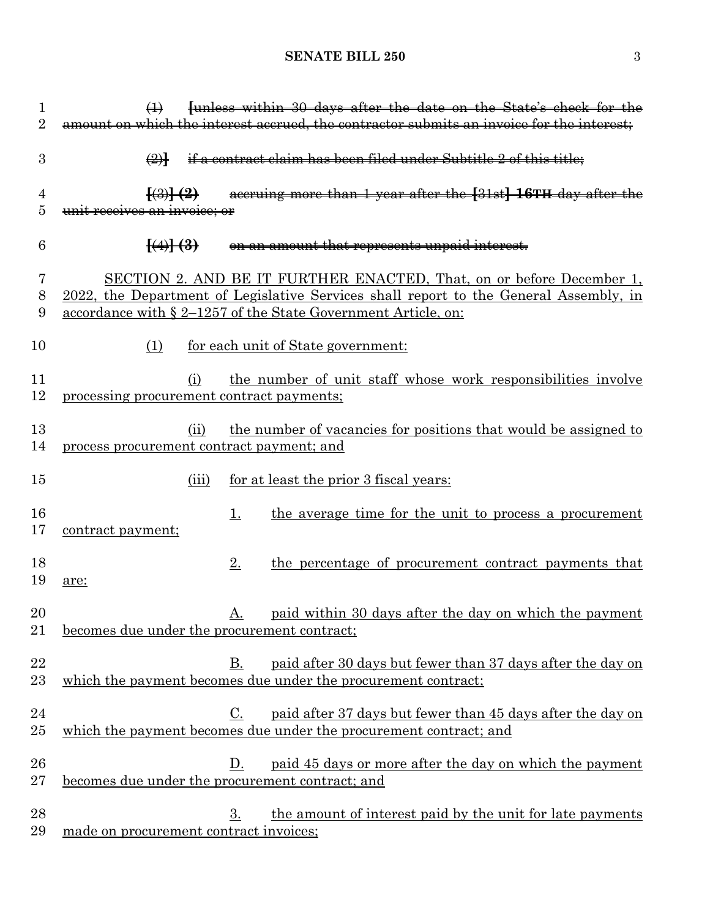# **SENATE BILL 250** 3

| 1<br>$\overline{2}$ | funless within 30 days after the date on the State's check for the<br>$\bigoplus$<br>amount on which the interest accrued, the contractor submits an invoice for the interest;                                                                                                                                                                                                                                                                           |  |
|---------------------|----------------------------------------------------------------------------------------------------------------------------------------------------------------------------------------------------------------------------------------------------------------------------------------------------------------------------------------------------------------------------------------------------------------------------------------------------------|--|
| 3                   | if a contract claim has been filed under Subtitle 2 of this title;<br>$\bigoplus$                                                                                                                                                                                                                                                                                                                                                                        |  |
| 4<br>5              | accruing more than 1 year after the [31st] 16TH day after the<br>$\left\{ \left( 3\right) \right\} \left( 2\right)$<br>unit receives an invoice; or                                                                                                                                                                                                                                                                                                      |  |
| 6                   | $\left(\frac{4}{1} + \frac{3}{1} + \frac{1}{1} + \frac{1}{1} + \frac{1}{1} + \frac{1}{1} + \frac{1}{1} + \frac{1}{1} + \frac{1}{1} + \frac{1}{1} + \frac{1}{1} + \frac{1}{1} + \frac{1}{1} + \frac{1}{1} + \frac{1}{1} + \frac{1}{1} + \frac{1}{1} + \frac{1}{1} + \frac{1}{1} + \frac{1}{1} + \frac{1}{1} + \frac{1}{1} + \frac{1}{1} + \frac{1}{1} + \frac{1}{1} + \frac{1}{1} + \frac{1}{1} + \frac$<br>on an amount that represents unpaid interest. |  |
| 7<br>8<br>9         | SECTION 2. AND BE IT FURTHER ENACTED, That, on or before December 1,<br>2022, the Department of Legislative Services shall report to the General Assembly, in<br>accordance with § 2-1257 of the State Government Article, on:                                                                                                                                                                                                                           |  |
| 10                  | for each unit of State government:<br>(1)                                                                                                                                                                                                                                                                                                                                                                                                                |  |
| 11<br>12            | the number of unit staff whose work responsibilities involve<br>(i)<br>processing procurement contract payments;                                                                                                                                                                                                                                                                                                                                         |  |
| 13<br>14            | the number of vacancies for positions that would be assigned to<br>(ii)<br>process procurement contract payment; and                                                                                                                                                                                                                                                                                                                                     |  |
| 15                  | for at least the prior 3 fiscal years:<br>(iii)                                                                                                                                                                                                                                                                                                                                                                                                          |  |
| 16<br>17            | the average time for the unit to process a procurement<br>1.<br>contract payment;                                                                                                                                                                                                                                                                                                                                                                        |  |
| 18<br>19            | 2.<br>the percentage of procurement contract payments that<br>are:                                                                                                                                                                                                                                                                                                                                                                                       |  |
| 20<br>21            | <u>paid within 30 days after the day on which the payment</u><br>A.<br>becomes due under the procurement contract;                                                                                                                                                                                                                                                                                                                                       |  |
| 22<br>23            | $B_{\cdot}$<br>paid after 30 days but fewer than 37 days after the day on<br>which the payment becomes due under the procurement contract;                                                                                                                                                                                                                                                                                                               |  |
| 24<br>25            | paid after 37 days but fewer than 45 days after the day on<br>C.<br>which the payment becomes due under the procurement contract; and                                                                                                                                                                                                                                                                                                                    |  |
| 26<br>$27\,$        | paid 45 days or more after the day on which the payment<br>D.<br>becomes due under the procurement contract; and                                                                                                                                                                                                                                                                                                                                         |  |
| 28<br>29            | 3.<br>the amount of interest paid by the unit for late payments<br>made on procurement contract invoices;                                                                                                                                                                                                                                                                                                                                                |  |